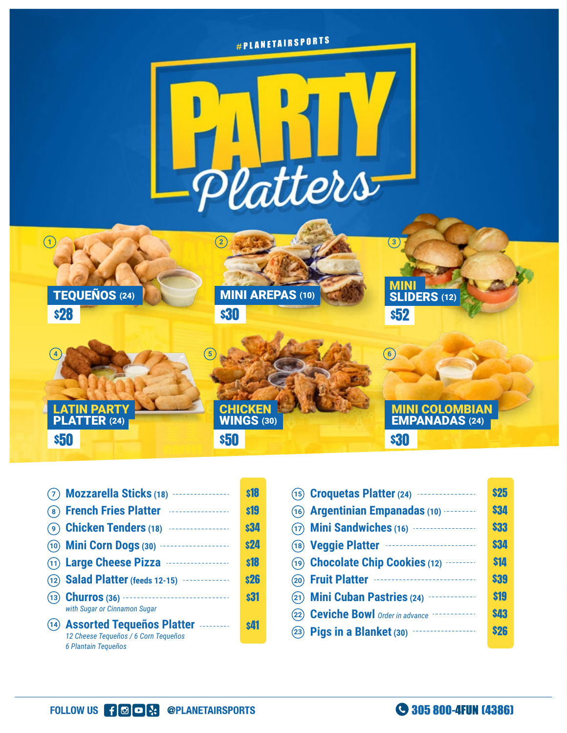

| $(7)$ Mozzarella Sticks (18) $\cdots$                                                         | <b>s18</b> |
|-----------------------------------------------------------------------------------------------|------------|
| (8) French Fries Platter <b>Entrarrams</b>                                                    | <b>s19</b> |
| 4 (9) Chicken Tenders (18)                                                                    | <b>s34</b> |
| (10) <b>Mini Corn Dogs</b> (30) <b>Mini Corn Dogs</b> (30)                                    | <b>s24</b> |
| (11) Large Cheese Pizza                                                                       | <b>s18</b> |
| (12) <b>Salad Platter</b> (feeds 12-15) <b></b>                                               | <b>s26</b> |
| with Sugar or Cinnamon Sugar                                                                  | <b>s31</b> |
| (14) Assorted Tequeños Platter<br>12 Cheese Tequeños / 6 Corn Tequeños<br>6 Plantain Tequeños | \$Л1       |
|                                                                                               |            |

|      | (15) <b>Croquetas Platter</b> (24) <b></b>   | <b>\$25</b> |
|------|----------------------------------------------|-------------|
|      | (16) Argentinian Empanadas (10) ---------    | \$34        |
|      | (17) Mini Sandwiches (16)                    | \$33        |
|      | (18) Veggie Platter                          | \$34        |
|      | (19) Chocolate Chip Cookies (12)             | \$14        |
|      | (20) Fruit Platter                           | \$39        |
|      | (21) Mini Cuban Pastries (24) ·············· | \$19        |
|      |                                              | \$43        |
| (23) |                                              | <b>\$26</b> |
|      |                                              |             |

305 800-4FUN (4386)